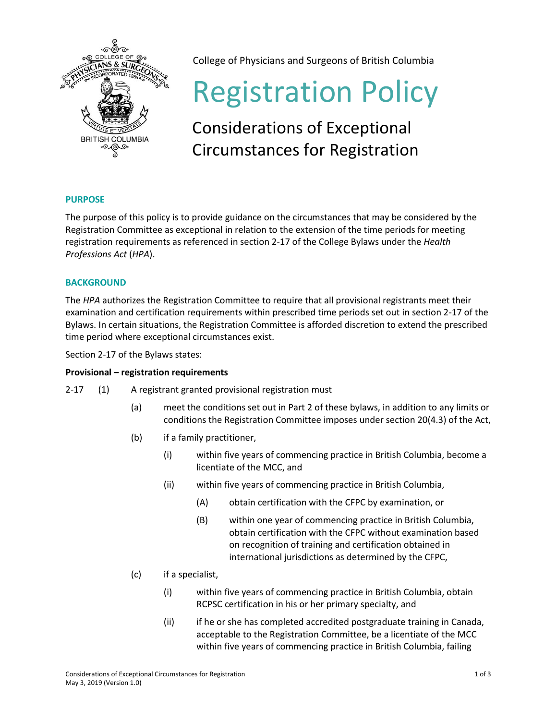

College of Physicians and Surgeons of British Columbia

# Registration Policy

## Considerations of Exceptional Circumstances for Registration

### **PURPOSE**

The purpose of this policy is to provide guidance on the circumstances that may be considered by the Registration Committee as exceptional in relation to the extension of the time periods for meeting registration requirements as referenced in section 2-17 of the College Bylaws under the *Health Professions Act* (*HPA*).

#### **BACKGROUND**

The *HPA* authorizes the Registration Committee to require that all provisional registrants meet their examination and certification requirements within prescribed time periods set out in section 2-17 of the Bylaws. In certain situations, the Registration Committee is afforded discretion to extend the prescribed time period where exceptional circumstances exist.

Section 2-17 of the Bylaws states:

#### **Provisional – registration requirements**

- 2-17 (1) A registrant granted provisional registration must
	- (a) meet the conditions set out in Part 2 of these bylaws, in addition to any limits or conditions the Registration Committee imposes under section 20(4.3) of the Act,
	- (b) if a family practitioner,
		- (i) within five years of commencing practice in British Columbia, become a licentiate of the MCC, and
		- (ii) within five years of commencing practice in British Columbia,
			- (A) obtain certification with the CFPC by examination, or
			- (B) within one year of commencing practice in British Columbia, obtain certification with the CFPC without examination based on recognition of training and certification obtained in international jurisdictions as determined by the CFPC,
	- (c) if a specialist,
		- (i) within five years of commencing practice in British Columbia, obtain RCPSC certification in his or her primary specialty, and
		- (ii) if he or she has completed accredited postgraduate training in Canada, acceptable to the Registration Committee, be a licentiate of the MCC within five years of commencing practice in British Columbia, failing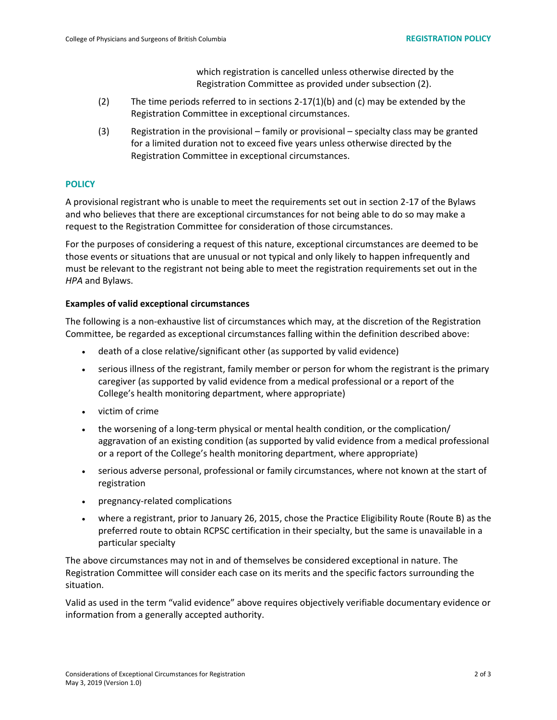which registration is cancelled unless otherwise directed by the Registration Committee as provided under subsection (2).

- (2) The time periods referred to in sections  $2-17(1)(b)$  and (c) may be extended by the Registration Committee in exceptional circumstances.
- (3) Registration in the provisional family or provisional specialty class may be granted for a limited duration not to exceed five years unless otherwise directed by the Registration Committee in exceptional circumstances.

#### **POLICY**

A provisional registrant who is unable to meet the requirements set out in section 2-17 of the Bylaws and who believes that there are exceptional circumstances for not being able to do so may make a request to the Registration Committee for consideration of those circumstances.

For the purposes of considering a request of this nature, exceptional circumstances are deemed to be those events or situations that are unusual or not typical and only likely to happen infrequently and must be relevant to the registrant not being able to meet the registration requirements set out in the *HPA* and Bylaws.

#### **Examples of valid exceptional circumstances**

The following is a non-exhaustive list of circumstances which may, at the discretion of the Registration Committee, be regarded as exceptional circumstances falling within the definition described above:

- death of a close relative/significant other (as supported by valid evidence)
- serious illness of the registrant, family member or person for whom the registrant is the primary caregiver (as supported by valid evidence from a medical professional or a report of the College's health monitoring department, where appropriate)
- victim of crime
- the worsening of a long-term physical or mental health condition, or the complication/ aggravation of an existing condition (as supported by valid evidence from a medical professional or a report of the College's health monitoring department, where appropriate)
- serious adverse personal, professional or family circumstances, where not known at the start of registration
- pregnancy-related complications
- where a registrant, prior to January 26, 2015, chose the Practice Eligibility Route (Route B) as the preferred route to obtain RCPSC certification in their specialty, but the same is unavailable in a particular specialty

The above circumstances may not in and of themselves be considered exceptional in nature. The Registration Committee will consider each case on its merits and the specific factors surrounding the situation.

Valid as used in the term "valid evidence" above requires objectively verifiable documentary evidence or information from a generally accepted authority.